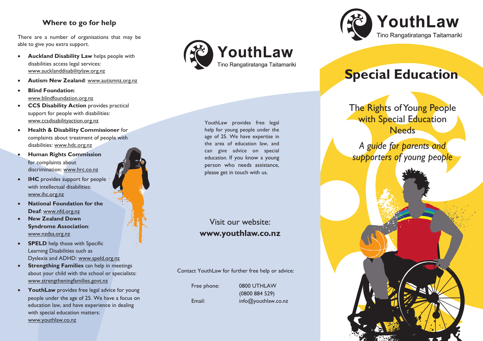## **Where to go for help**

There are a number of organisations that may be able to give you extra support.

- **Auckland Disability Law** helps people with disabilities access legal services: www.aucklanddisabilitylaw.org.nz
- **Autism New Zealand**: www.autismnz.org.nz
- **Blind Foundation**: www.blindfoundation.org.nz
- **CCS Disability Action** provides practical support for people with disabilities: www.ccsdisabilityaction.org.nz
- **Health & Disability Commissioner** for complaints about treatment of people with disabilities: www.hdc.org.nz
- **Human Rights Commission** for complaints about discrimination: www.hrc.co.nz
- **IHC** provides support for people with intellectual disabilities: www.ihc.org.nz
- **National Foundation for the Deaf**: www.nfd.org.nz
- **New Zealand Down Syndrome Association**: www.nzdsa.org.nz
- **SPELD** help those with Specific Learning Disabilities such as Dyslexia and ADHD: www.speld.org.nz
- **Strengthing Families** can help in meetings about your child with the school or specialists: www.strengtheningfamilies.govt.nz
- **YouthLaw** provides free legal advice for young people under the age of 25. We have a focus on education law, and have experience in dealing with special education matters: www.youthlaw.co.nz



YouthLaw provides free legal help for young people under the age of 25. We have expertise in the area of education law, and can give advice on special education. If you know a young person who needs assistance, please get in touch with us.

## Visit our website: **www.youthlaw.co.nz**

Contact YouthLaw for further free help or advice:

 Free phone: 0800 UTHLAW (0800 884 529) Email: info@youthlaw.co.nz



# **Special Education**

The Rights of Young People with Special Education **Needs** 

*A guide for parents and supporters of young people*